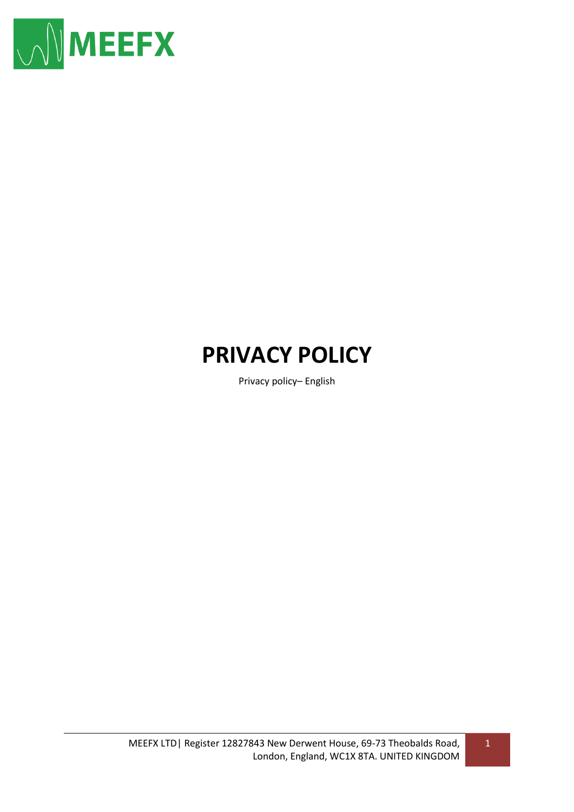

# **PRIVACY POLICY**

Privacy policy– English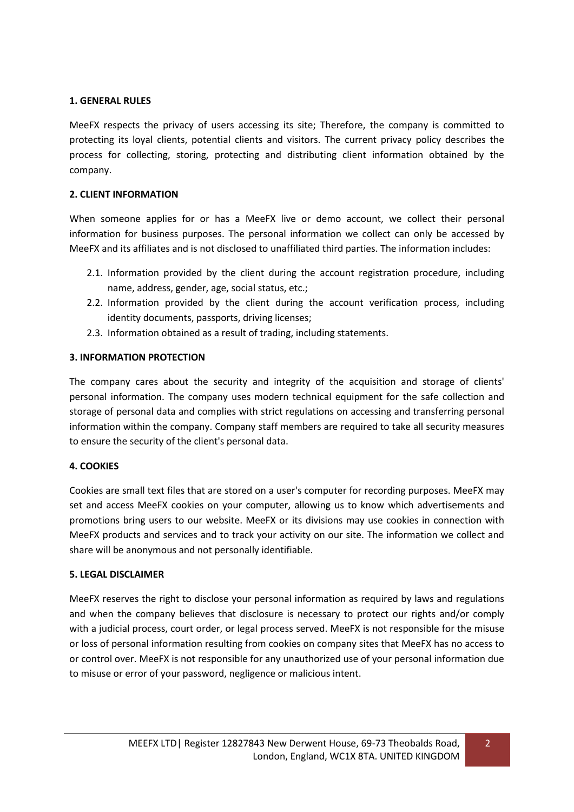## **1. GENERAL RULES**

MeeFX respects the privacy of users accessing its site; Therefore, the company is committed to protecting its loyal clients, potential clients and visitors. The current privacy policy describes the process for collecting, storing, protecting and distributing client information obtained by the company.

### **2. CLIENT INFORMATION**

When someone applies for or has a MeeFX live or demo account, we collect their personal information for business purposes. The personal information we collect can only be accessed by MeeFX and its affiliates and is not disclosed to unaffiliated third parties. The information includes:

- 2.1. Information provided by the client during the account registration procedure, including name, address, gender, age, social status, etc.;
- 2.2. Information provided by the client during the account verification process, including identity documents, passports, driving licenses;
- 2.3. Information obtained as a result of trading, including statements.

### **3. INFORMATION PROTECTION**

The company cares about the security and integrity of the acquisition and storage of clients' personal information. The company uses modern technical equipment for the safe collection and storage of personal data and complies with strict regulations on accessing and transferring personal information within the company. Company staff members are required to take all security measures to ensure the security of the client's personal data.

### **4. COOKIES**

Cookies are small text files that are stored on a user's computer for recording purposes. MeeFX may set and access MeeFX cookies on your computer, allowing us to know which advertisements and promotions bring users to our website. MeeFX or its divisions may use cookies in connection with MeeFX products and services and to track your activity on our site. The information we collect and share will be anonymous and not personally identifiable.

### **5. LEGAL DISCLAIMER**

MeeFX reserves the right to disclose your personal information as required by laws and regulations and when the company believes that disclosure is necessary to protect our rights and/or comply with a judicial process, court order, or legal process served. MeeFX is not responsible for the misuse or loss of personal information resulting from cookies on company sites that MeeFX has no access to or control over. MeeFX is not responsible for any unauthorized use of your personal information due to misuse or error of your password, negligence or malicious intent.